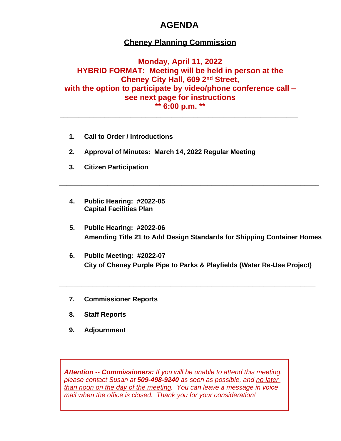# **AGENDA**

## **Cheney Planning Commission**

## **Monday, April 11, 2022 HYBRID FORMAT: Meeting will be held in person at the Cheney City Hall, 609 2nd Street, with the option to participate by video/phone conference call – see next page for instructions \*\* 6:00 p.m. \*\***

**\_\_\_\_\_\_\_\_\_\_\_\_\_\_\_\_\_\_\_\_\_\_\_\_\_\_\_\_\_\_\_\_\_\_\_\_\_\_\_\_\_\_\_\_\_\_\_\_\_\_\_\_\_\_\_\_\_\_\_\_\_\_\_\_**

- **1. Call to Order / Introductions**
- **2. Approval of Minutes: March 14, 2022 Regular Meeting**
- **3. Citizen Participation**
- **4. Public Hearing: #2022-05 Capital Facilities Plan**
- **5. Public Hearing: #2022-06 Amending Title 21 to Add Design Standards for Shipping Container Homes**

**\_\_\_\_\_\_\_\_\_\_\_\_\_\_\_\_\_\_\_\_\_\_\_\_\_\_\_\_\_\_\_\_\_\_\_\_\_\_\_\_\_\_\_\_\_\_\_\_\_\_\_\_\_\_\_\_\_\_\_\_\_\_\_\_\_\_\_\_\_\_**

**6. Public Meeting: #2022-07 City of Cheney Purple Pipe to Parks & Playfields (Water Re-Use Project)**

**\_\_\_\_\_\_\_\_\_\_\_\_\_\_\_\_\_\_\_\_\_\_\_\_\_\_\_\_\_\_\_\_\_\_\_\_\_\_\_\_\_\_\_\_\_\_\_\_\_\_\_\_\_\_\_\_\_\_\_\_\_\_\_\_\_\_\_\_\_**

- **7. Commissioner Reports**
- **8. Staff Reports**
- **9. Adjournment**

*Attention -- Commissioners: If you will be unable to attend this meeting, please contact Susan at 509-498-9240 as soon as possible, and no later than noon on the day of the meeting. You can leave a message in voice mail when the office is closed. Thank you for your consideration!*